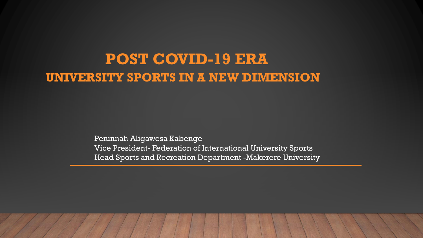## **POST COVID-19 ERA UNIVERSITY SPORTS IN A NEW DIMENSION**

Peninnah Aligawesa Kabenge Vice President- Federation of International University Sports Head Sports and Recreation Department -Makerere University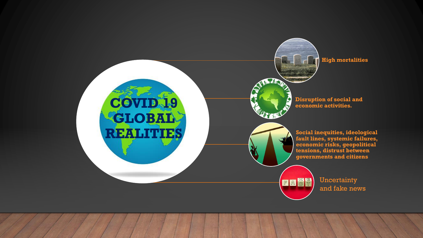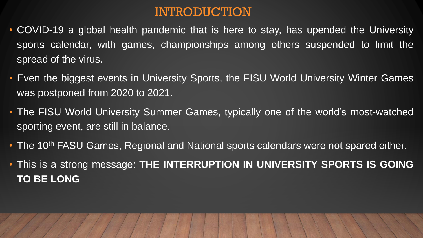#### INTRODUCTION

- COVID-19 a global health pandemic that is here to stay, has upended the University sports calendar, with games, championships among others suspended to limit the spread of the virus.
- Even the biggest events in University Sports, the FISU World University Winter Games was postponed from 2020 to 2021.
- The FISU World University Summer Games, typically one of the world's most-watched sporting event, are still in balance.
- The 10<sup>th</sup> FASU Games, Regional and National sports calendars were not spared either.
- This is a strong message: **THE INTERRUPTION IN UNIVERSITY SPORTS IS GOING TO BE LONG**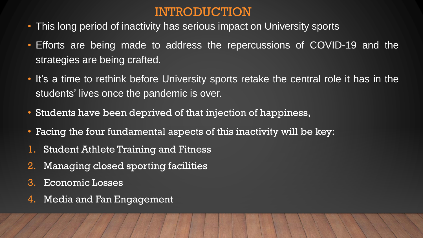#### INTRODUCTION

- This long period of inactivity has serious impact on University sports
- Efforts are being made to address the repercussions of COVID-19 and the strategies are being crafted.
- It's a time to rethink before University sports retake the central role it has in the students' lives once the pandemic is over.
- Students have been deprived of that injection of happiness,
- Facing the four fundamental aspects of this inactivity will be key:
- 1. Student Athlete Training and Fitness
- 2. Managing closed sporting facilities
- 3. Economic Losses
- 4. Media and Fan Engagement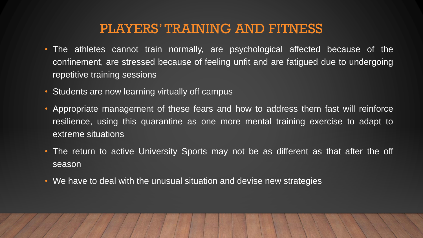#### PLAYERS' TRAINING AND FITNESS

- The athletes cannot train normally, are psychological affected because of the confinement, are stressed because of feeling unfit and are fatigued due to undergoing repetitive training sessions
- Students are now learning virtually off campus
- Appropriate management of these fears and how to address them fast will reinforce resilience, using this quarantine as one more mental training exercise to adapt to extreme situations
- The return to active University Sports may not be as different as that after the off season
- We have to deal with the unusual situation and devise new strategies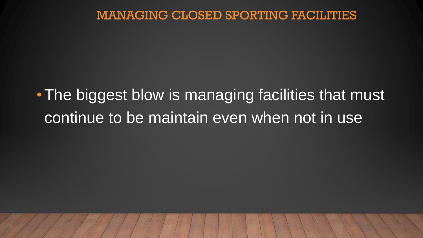#### MANAGING CLOSED SPORTING FACILITIES

# • The biggest blow is managing facilities that must continue to be maintain even when not in use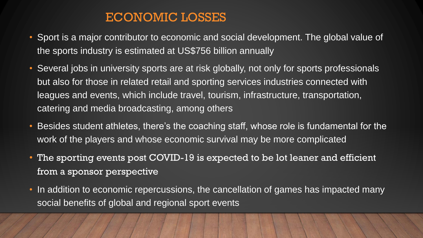#### ECONOMIC LOSSES

- Sport is a major contributor to economic and social development. The global value of the sports industry is estimated at US\$756 billion annually
- Several jobs in university sports are at risk globally, not only for sports professionals but also for those in related retail and sporting services industries connected with leagues and events, which include travel, tourism, infrastructure, transportation, catering and media broadcasting, among others
- Besides student athletes, there's the coaching staff, whose role is fundamental for the work of the players and whose economic survival may be more complicated
- The sporting events post COVID-19 is expected to be lot leaner and efficient from a sponsor perspective
- In addition to economic repercussions, the cancellation of games has impacted many social benefits of global and regional sport events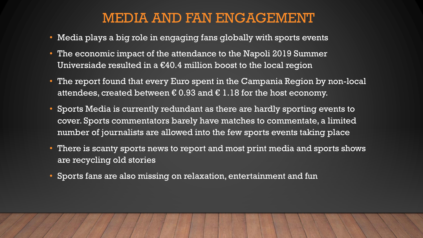#### MEDIA AND FAN ENGAGEMENT

- Media plays a big role in engaging fans globally with sports events
- The economic impact of the attendance to the Napoli 2019 Summer Universiade resulted in a  $\epsilon$ 40.4 million boost to the local region
- The report found that every Euro spent in the Campania Region by non-local attendees, created between  $\epsilon$  0.93 and  $\epsilon$  1.18 for the host economy.
- Sports Media is currently redundant as there are hardly sporting events to cover. Sports commentators barely have matches to commentate, a limited number of journalists are allowed into the few sports events taking place
- There is scanty sports news to report and most print media and sports shows are recycling old stories
- Sports fans are also missing on relaxation, entertainment and fun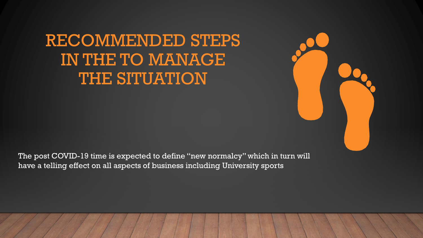# RECOMMENDED STEPS IN THE TO MANAGE THE SITUATION

The post COVID-19 time is expected to define "new normalcy" which in turn will have a telling effect on all aspects of business including University sports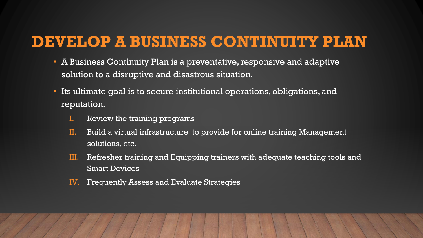## **DEVELOP A BUSINESS CONTINUITY PLAN**

- A Business Continuity Plan is a preventative, responsive and adaptive solution to a disruptive and disastrous situation.
- Its ultimate goal is to secure institutional operations, obligations, and reputation.
	- I. Review the training programs
	- II. Build a virtual infrastructure to provide for online training Management solutions, etc.
	- III. Refresher training and Equipping trainers with adequate teaching tools and Smart Devices
	- IV. Frequently Assess and Evaluate Strategies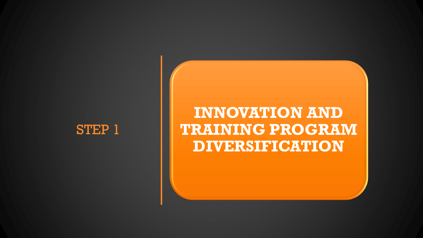

## **INNOVATION AND TRAINING PROGRAM DIVERSIFICATION**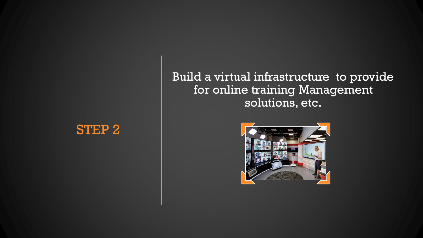## STEP 2

#### Build a virtual infrastructure to provide for online training Management solutions, etc.

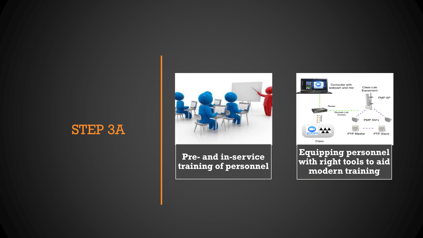### STEP 3A

**Pre- and in-service training of personnel**



**Equipping personnel with right tools to aid modern training**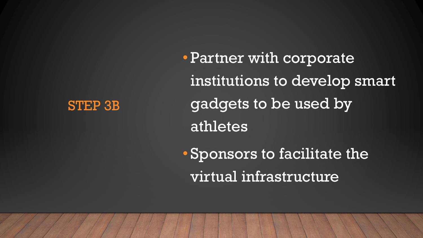#### STEP 3B

• Partner with corporate institutions to develop smart gadgets to be used by athletes • Sponsors to facilitate the

virtual infrastructure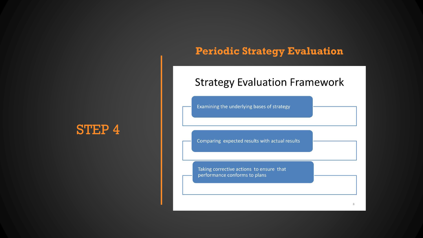#### STEP 4

#### **Periodic Strategy Evaluation**

#### **Strategy Evaluation Framework**

Examining the underlying bases of strategy

Comparing expected results with actual results

Taking corrective actions to ensure that performance conforms to plans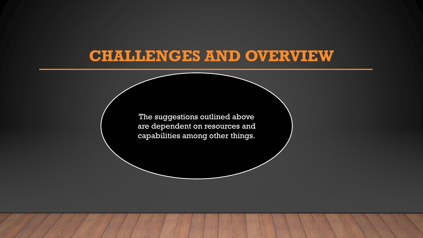## **CHALLENGES AND OVERVIEW**

The suggestions outlined above are dependent on resources and capabilities among other things.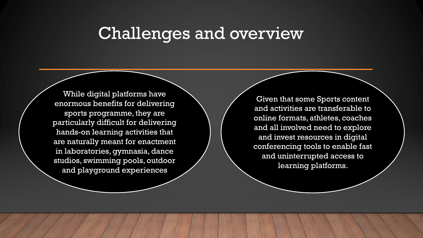## Challenges and overview

While digital platforms have enormous benefits for delivering sports programme, they are particularly difficult for delivering hands-on learning activities that are naturally meant for enactment in laboratories, gymnasia, dance studios, swimming pools, outdoor and playground experiences

Given that some Sports content and activities are transferable to online formats, athletes, coaches and all involved need to explore and invest resources in digital conferencing tools to enable fast and uninterrupted access to learning platforms.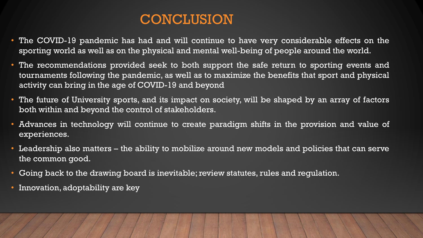### **CONCLUSION**

- The COVID-19 pandemic has had and will continue to have very considerable effects on the sporting world as well as on the physical and mental well-being of people around the world.
- The recommendations provided seek to both support the safe return to sporting events and tournaments following the pandemic, as well as to maximize the benefits that sport and physical activity can bring in the age of COVID-19 and beyond
- The future of University sports, and its impact on society, will be shaped by an array of factors both within and beyond the control of stakeholders.
- Advances in technology will continue to create paradigm shifts in the provision and value of experiences.
- Leadership also matters the ability to mobilize around new models and policies that can serve the common good.
- Going back to the drawing board is inevitable; review statutes, rules and regulation.
- Innovation, adoptability are key